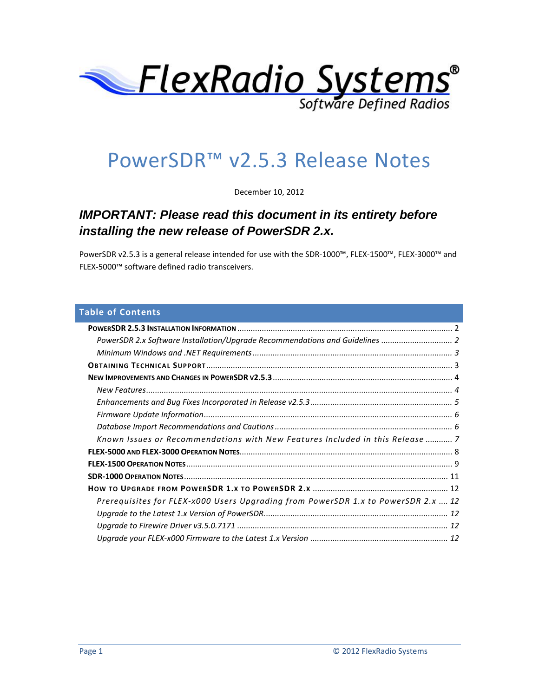

# PowerSDR™ v2.5.3 Release Notes

December 10, 2012

# *IMPORTANT: Please read this document in its entirety before installing the new release of PowerSDR 2.x.*

PowerSDR v2.5.3 is a general release intended for use with the SDR-1000™, FLEX-1500™, FLEX-3000™ and FLEX-5000™ software defined radio transceivers.

# **Table of Contents**

| PowerSDR 2.x Software Installation/Upgrade Recommendations and Guidelines  2      |  |
|-----------------------------------------------------------------------------------|--|
|                                                                                   |  |
|                                                                                   |  |
|                                                                                   |  |
|                                                                                   |  |
|                                                                                   |  |
|                                                                                   |  |
|                                                                                   |  |
| Known Issues or Recommendations with New Features Included in this Release  7     |  |
|                                                                                   |  |
|                                                                                   |  |
|                                                                                   |  |
|                                                                                   |  |
| Prerequisites for FLEX-x000 Users Upgrading from PowerSDR 1.x to PowerSDR 2.x  12 |  |
|                                                                                   |  |
|                                                                                   |  |
|                                                                                   |  |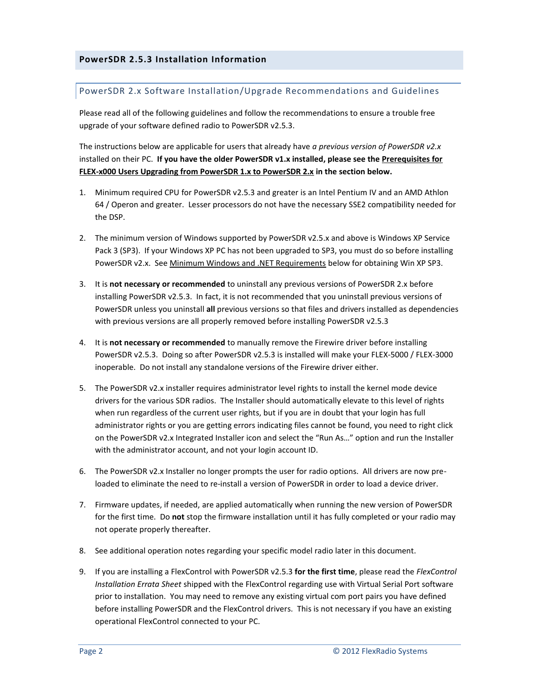#### <span id="page-1-1"></span><span id="page-1-0"></span>PowerSDR 2.x Software Installation/Upgrade Recommendations and Guidelines

Please read all of the following guidelines and follow the recommendations to ensure a trouble free upgrade of your software defined radio to PowerSDR v2.5.3.

The instructions below are applicable for users that already have *a previous version of PowerSDR v2.x* installed on their PC. **If you have the older PowerSDR v1.x installed, please see the Prerequisites for FLEX-x000 Users Upgrading from PowerSDR 1.x to PowerSDR 2.x in the section below.**

- 1. Minimum required CPU for PowerSDR v2.5.3 and greater is an Intel Pentium IV and an AMD Athlon 64 / Operon and greater. Lesser processors do not have the necessary SSE2 compatibility needed for the DSP.
- 2. The minimum version of Windows supported by PowerSDR v2.5.x and above is Windows XP Service Pack 3 (SP3). If your Windows XP PC has not been upgraded to SP3, you must do so before installing PowerSDR v2.x. See Minimum Windows and .NET Requirements below for obtaining Win XP SP3.
- 3. It is **not necessary or recommended** to uninstall any previous versions of PowerSDR 2.x before installing PowerSDR v2.5.3. In fact, it is not recommended that you uninstall previous versions of PowerSDR unless you uninstall **all** previous versions so that files and drivers installed as dependencies with previous versions are all properly removed before installing PowerSDR v2.5.3
- 4. It is **not necessary or recommended** to manually remove the Firewire driver before installing PowerSDR v2.5.3. Doing so after PowerSDR v2.5.3 is installed will make your FLEX-5000 / FLEX-3000 inoperable. Do not install any standalone versions of the Firewire driver either.
- 5. The PowerSDR v2.x installer requires administrator level rights to install the kernel mode device drivers for the various SDR radios. The Installer should automatically elevate to this level of rights when run regardless of the current user rights, but if you are in doubt that your login has full administrator rights or you are getting errors indicating files cannot be found, you need to right click on the PowerSDR v2.x Integrated Installer icon and select the "Run As…" option and run the Installer with the administrator account, and not your login account ID.
- 6. The PowerSDR v2.x Installer no longer prompts the user for radio options. All drivers are now preloaded to eliminate the need to re-install a version of PowerSDR in order to load a device driver.
- 7. Firmware updates, if needed, are applied automatically when running the new version of PowerSDR for the first time. Do **not** stop the firmware installation until it has fully completed or your radio may not operate properly thereafter.
- 8. See additional operation notes regarding your specific model radio later in this document.
- 9. If you are installing a FlexControl with PowerSDR v2.5.3 **for the first time**, please read the *FlexControl Installation Errata Sheet* shipped with the FlexControl regarding use with Virtual Serial Port software prior to installation. You may need to remove any existing virtual com port pairs you have defined before installing PowerSDR and the FlexControl drivers. This is not necessary if you have an existing operational FlexControl connected to your PC.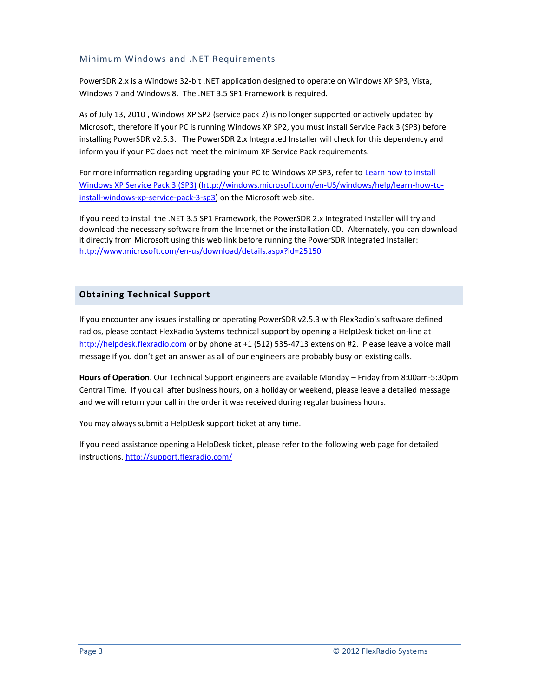# <span id="page-2-0"></span>Minimum Windows and .NET Requirements

PowerSDR 2.x is a Windows 32-bit .NET application designed to operate on Windows XP SP3, Vista, Windows 7 and Windows 8. The .NET 3.5 SP1 Framework is required.

As of July 13, 2010 , Windows XP SP2 (service pack 2) is no longer supported or actively updated by Microsoft, therefore if your PC is running Windows XP SP2, you must install Service Pack 3 (SP3) before installing PowerSDR v2.5.3. The PowerSDR 2.x Integrated Installer will check for this dependency and inform you if your PC does not meet the minimum XP Service Pack requirements.

For more information regarding upgrading your PC to Windows XP SP3, refer to Learn how to install [Windows XP Service Pack 3 \(SP3\)](http://windows.microsoft.com/en-US/windows/help/learn-how-to-install-windows-xp-service-pack-3-sp3) [\(http://windows.microsoft.com/en-US/windows/help/learn-how-to](http://windows.microsoft.com/en-US/windows/help/learn-how-to-install-windows-xp-service-pack-3-sp3)[install-windows-xp-service-pack-3-sp3\)](http://windows.microsoft.com/en-US/windows/help/learn-how-to-install-windows-xp-service-pack-3-sp3) on the Microsoft web site.

If you need to install the .NET 3.5 SP1 Framework, the PowerSDR 2.x Integrated Installer will try and download the necessary software from the Internet or the installation CD. Alternately, you can download it directly from Microsoft using this web link before running the PowerSDR Integrated Installer: <http://www.microsoft.com/en-us/download/details.aspx?id=25150>

# <span id="page-2-1"></span>**Obtaining Technical Support**

If you encounter any issues installing or operating PowerSDR v2.5.3 with FlexRadio's software defined radios, please contact FlexRadio Systems technical support by opening a HelpDesk ticket on-line at [http://helpdesk.flexradio.com](http://helpdesk.flexradio.com/) or by phone at +1 (512) 535-4713 extension #2. Please leave a voice mail message if you don't get an answer as all of our engineers are probably busy on existing calls.

**Hours of Operation**. Our Technical Support engineers are available Monday – Friday from 8:00am-5:30pm Central Time. If you call after business hours, on a holiday or weekend, please leave a detailed message and we will return your call in the order it was received during regular business hours.

You may always submit a HelpDesk support ticket at any time.

If you need assistance opening a HelpDesk ticket, please refer to the following web page for detailed instructions[. http://support.flexradio.com/](http://support.flexradio.com/)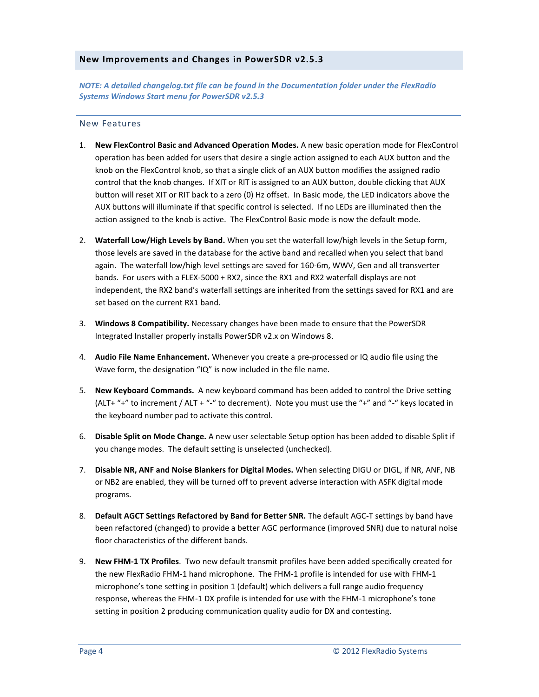#### <span id="page-3-0"></span>**New Improvements and Changes in PowerSDR v2.5.3**

*NOTE: A detailed changelog.txt file can be found in the Documentation folder under the FlexRadio Systems Windows Start menu for PowerSDR v2.5.3*

#### <span id="page-3-1"></span>New Features

- 1. **New FlexControl Basic and Advanced Operation Modes.** A new basic operation mode for FlexControl operation has been added for users that desire a single action assigned to each AUX button and the knob on the FlexControl knob, so that a single click of an AUX button modifies the assigned radio control that the knob changes. If XIT or RIT is assigned to an AUX button, double clicking that AUX button will reset XIT or RIT back to a zero (0) Hz offset. In Basic mode, the LED indicators above the AUX buttons will illuminate if that specific control is selected. If no LEDs are illuminated then the action assigned to the knob is active. The FlexControl Basic mode is now the default mode.
- 2. **Waterfall Low/High Levels by Band.** When you set the waterfall low/high levels in the Setup form, those levels are saved in the database for the active band and recalled when you select that band again. The waterfall low/high level settings are saved for 160-6m, WWV, Gen and all transverter bands. For users with a FLEX-5000 + RX2, since the RX1 and RX2 waterfall displays are not independent, the RX2 band's waterfall settings are inherited from the settings saved for RX1 and are set based on the current RX1 band.
- 3. **Windows 8 Compatibility.** Necessary changes have been made to ensure that the PowerSDR Integrated Installer properly installs PowerSDR v2.x on Windows 8.
- 4. **Audio File Name Enhancement.** Whenever you create a pre-processed or IQ audio file using the Wave form, the designation "IQ" is now included in the file name.
- 5. **New Keyboard Commands.** A new keyboard command has been added to control the Drive setting (ALT+ "+" to increment / ALT + "-" to decrement). Note you must use the "+" and "-" keys located in the keyboard number pad to activate this control.
- 6. **Disable Split on Mode Change.** A new user selectable Setup option has been added to disable Split if you change modes. The default setting is unselected (unchecked).
- 7. **Disable NR, ANF and Noise Blankers for Digital Modes.** When selecting DIGU or DIGL, if NR, ANF, NB or NB2 are enabled, they will be turned off to prevent adverse interaction with ASFK digital mode programs.
- 8. **Default AGCT Settings Refactored by Band for Better SNR.** The default AGC-T settings by band have been refactored (changed) to provide a better AGC performance (improved SNR) due to natural noise floor characteristics of the different bands.
- 9. **New FHM-1 TX Profiles**. Two new default transmit profiles have been added specifically created for the new FlexRadio FHM-1 hand microphone. The FHM-1 profile is intended for use with FHM-1 microphone's tone setting in position 1 (default) which delivers a full range audio frequency response, whereas the FHM-1 DX profile is intended for use with the FHM-1 microphone's tone setting in position 2 producing communication quality audio for DX and contesting.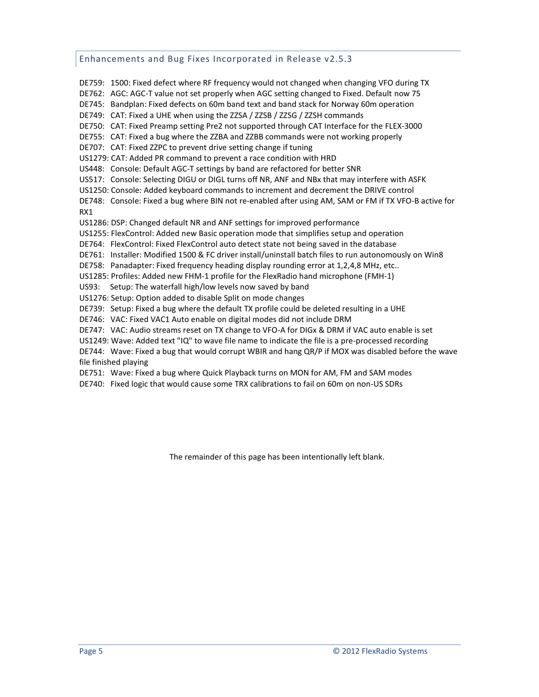#### <span id="page-4-0"></span>Enhancements and Bug Fixes Incorporated in Release v2.5.3

DE759: 1500: Fixed defect where RF frequency would not changed when changing VFO during TX DE762: AGC: AGC-T value not set properly when AGC setting changed to Fixed. Default now 75 DE745: Bandplan: Fixed defects on 60m band text and band stack for Norway 60m operation DE749: CAT: Fixed a UHE when using the ZZSA / ZZSB / ZZSG / ZZSH commands DE750: CAT: Fixed Preamp setting Pre2 not supported through CAT Interface for the FLEX-3000 DE755: CAT: Fixed a bug where the ZZBA and ZZBB commands were not working properly DE707: CAT: Fixed ZZPC to prevent drive setting change if tuning US1279: CAT: Added PR command to prevent a race condition with HRD US448: Console: Default AGC-T settings by band are refactored for better SNR US517: Console: Selecting DIGU or DIGL turns off NR, ANF and NBx that may interfere with ASFK US1250: Console: Added keyboard commands to increment and decrement the DRIVE control DE748: Console: Fixed a bug where BIN not re-enabled after using AM, SAM or FM if TX VFO-B active for RX1 US1286: DSP: Changed default NR and ANF settings for improved performance US1255: FlexControl: Added new Basic operation mode that simplifies setup and operation DE764: FlexControl: Fixed FlexControl auto detect state not being saved in the database DE761: Installer: Modified 1500 & FC driver install/uninstall batch files to run autonomously on Win8 DE758: Panadapter: Fixed frequency heading display rounding error at 1,2,4,8 MHz, etc.. US1285: Profiles: Added new FHM-1 profile for the FlexRadio hand microphone (FMH-1) US93: Setup: The waterfall high/low levels now saved by band US1276: Setup: Option added to disable Split on mode changes DE739: Setup: Fixed a bug where the default TX profile could be deleted resulting in a UHE DE746: VAC: Fixed VAC1 Auto enable on digital modes did not include DRM DE747: VAC: Audio streams reset on TX change to VFO-A for DIGx & DRM if VAC auto enable is set US1249: Wave: Added text "IQ" to wave file name to indicate the file is a pre-processed recording DE744: Wave: Fixed a bug that would corrupt WBIR and hang QR/P if MOX was disabled before the wave file finished playing

DE751: Wave: Fixed a bug where Quick Playback turns on MON for AM, FM and SAM modes

DE740: Fixed logic that would cause some TRX calibrations to fail on 60m on non-US SDRs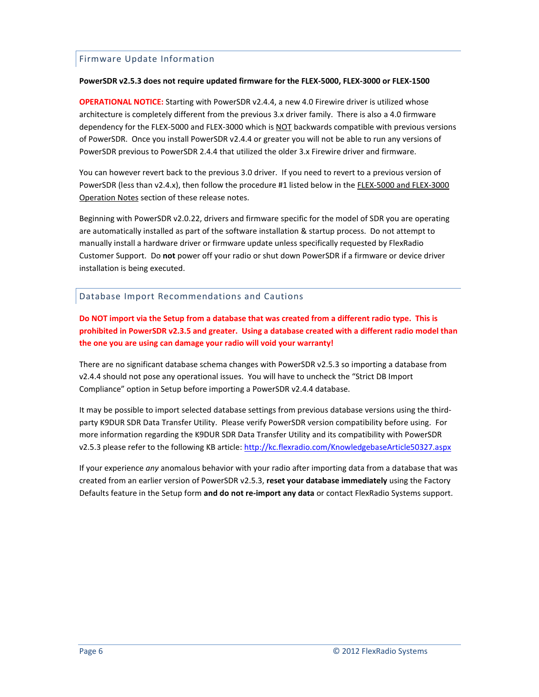# <span id="page-5-0"></span>Firmware Update Information

#### **PowerSDR v2.5.3 does not require updated firmware for the FLEX-5000, FLEX-3000 or FLEX-1500**

**OPERATIONAL NOTICE:** Starting with PowerSDR v2.4.4, a new 4.0 Firewire driver is utilized whose architecture is completely different from the previous 3.x driver family. There is also a 4.0 firmware dependency for the FLEX-5000 and FLEX-3000 which is NOT backwards compatible with previous versions of PowerSDR. Once you install PowerSDR v2.4.4 or greater you will not be able to run any versions of PowerSDR previous to PowerSDR 2.4.4 that utilized the older 3.x Firewire driver and firmware.

You can however revert back to the previous 3.0 driver. If you need to revert to a previous version of PowerSDR (less than v2.4.x), then follow the procedure #1 listed below in the FLEX-5000 and FLEX-3000 Operation Notes section of these release notes.

Beginning with PowerSDR v2.0.22, drivers and firmware specific for the model of SDR you are operating are automatically installed as part of the software installation & startup process. Do not attempt to manually install a hardware driver or firmware update unless specifically requested by FlexRadio Customer Support. Do **not** power off your radio or shut down PowerSDR if a firmware or device driver installation is being executed.

#### <span id="page-5-1"></span>Database Import Recommendations and Cautions

**Do NOT import via the Setup from a database that was created from a different radio type. This is prohibited in PowerSDR v2.3.5 and greater. Using a database created with a different radio model than the one you are using can damage your radio will void your warranty!**

There are no significant database schema changes with PowerSDR v2.5.3 so importing a database from v2.4.4 should not pose any operational issues. You will have to uncheck the "Strict DB Import Compliance" option in Setup before importing a PowerSDR v2.4.4 database.

It may be possible to import selected database settings from previous database versions using the thirdparty K9DUR SDR Data Transfer Utility. Please verify PowerSDR version compatibility before using. For more information regarding the K9DUR SDR Data Transfer Utility and its compatibility with PowerSDR v2.5.3 please refer to the following KB article: <http://kc.flexradio.com/KnowledgebaseArticle50327.aspx>

If your experience *any* anomalous behavior with your radio after importing data from a database that was created from an earlier version of PowerSDR v2.5.3, **reset your database immediately** using the Factory Defaults feature in the Setup form **and do not re-import any data** or contact FlexRadio Systems support.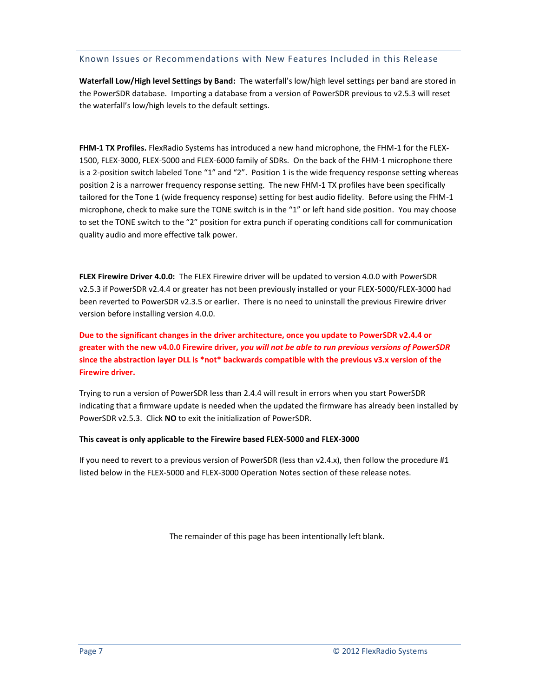#### <span id="page-6-0"></span>Known Issues or Recommendations with New Features Included in this Release

**Waterfall Low/High level Settings by Band:** The waterfall's low/high level settings per band are stored in the PowerSDR database. Importing a database from a version of PowerSDR previous to v2.5.3 will reset the waterfall's low/high levels to the default settings.

**FHM-1 TX Profiles.** FlexRadio Systems has introduced a new hand microphone, the FHM-1 for the FLEX-1500, FLEX-3000, FLEX-5000 and FLEX-6000 family of SDRs. On the back of the FHM-1 microphone there is a 2-position switch labeled Tone "1" and "2". Position 1 is the wide frequency response setting whereas position 2 is a narrower frequency response setting. The new FHM-1 TX profiles have been specifically tailored for the Tone 1 (wide frequency response) setting for best audio fidelity. Before using the FHM-1 microphone, check to make sure the TONE switch is in the "1" or left hand side position. You may choose to set the TONE switch to the "2" position for extra punch if operating conditions call for communication quality audio and more effective talk power.

**FLEX Firewire Driver 4.0.0:** The FLEX Firewire driver will be updated to version 4.0.0 with PowerSDR v2.5.3 if PowerSDR v2.4.4 or greater has not been previously installed or your FLEX-5000/FLEX-3000 had been reverted to PowerSDR v2.3.5 or earlier. There is no need to uninstall the previous Firewire driver version before installing version 4.0.0.

**Due to the significant changes in the driver architecture, once you update to PowerSDR v2.4.4 or greater with the new v4.0.0 Firewire driver,** *you will not be able to run previous versions of PowerSDR* **since the abstraction layer DLL is \*not\* backwards compatible with the previous v3.x version of the Firewire driver.**

Trying to run a version of PowerSDR less than 2.4.4 will result in errors when you start PowerSDR indicating that a firmware update is needed when the updated the firmware has already been installed by PowerSDR v2.5.3. Click **NO** to exit the initialization of PowerSDR.

#### **This caveat is only applicable to the Firewire based FLEX-5000 and FLEX-3000**

If you need to revert to a previous version of PowerSDR (less than v2.4.x), then follow the procedure #1 listed below in the FLEX-5000 and FLEX-3000 Operation Notes section of these release notes.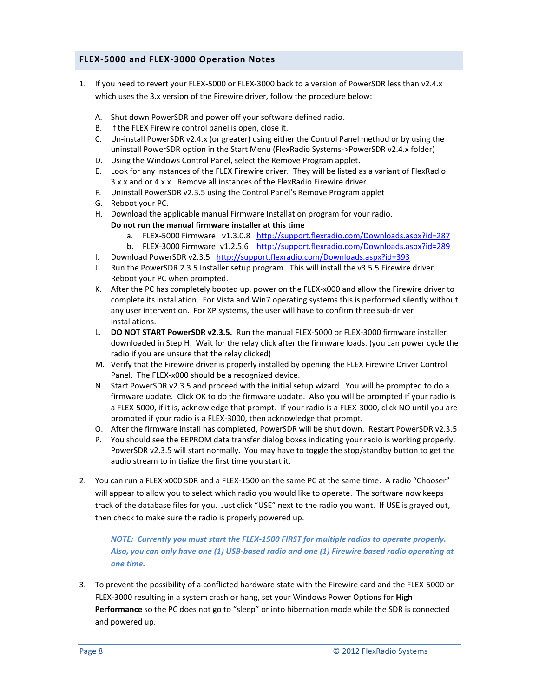# <span id="page-7-0"></span>**FLEX-5000 and FLEX-3000 Operation Notes**

- 1. If you need to revert your FLEX-5000 or FLEX-3000 back to a version of PowerSDR less than v2.4.x which uses the 3.x version of the Firewire driver, follow the procedure below:
	- A. Shut down PowerSDR and power off your software defined radio.
	- B. If the FLEX Firewire control panel is open, close it.
	- C. Un-install PowerSDR v2.4.x (or greater) using either the Control Panel method or by using the uninstall PowerSDR option in the Start Menu (FlexRadio Systems->PowerSDR v2.4.x folder)
	- D. Using the Windows Control Panel, select the Remove Program applet.
	- E. Look for any instances of the FLEX Firewire driver. They will be listed as a variant of FlexRadio 3.x.x and or 4.x.x. Remove all instances of the FlexRadio Firewire driver.
	- F. Uninstall PowerSDR v2.3.5 using the Control Panel's Remove Program applet
	- G. Reboot your PC.
	- H. Download the applicable manual Firmware Installation program for your radio. **Do not run the manual firmware installer at this time**
		- a. FLEX-5000 Firmware: v1.3.0.8 <http://support.flexradio.com/Downloads.aspx?id=287>
		- b. FLEX-3000 Firmware: v1.2.5.6 <http://support.flexradio.com/Downloads.aspx?id=289>
	- I. Download PowerSDR v2.3.5 <http://support.flexradio.com/Downloads.aspx?id=393>
	- J. Run the PowerSDR 2.3.5 Installer setup program. This will install the v3.5.5 Firewire driver. Reboot your PC when prompted.
	- K. After the PC has completely booted up, power on the FLEX-x000 and allow the Firewire driver to complete its installation. For Vista and Win7 operating systems this is performed silently without any user intervention. For XP systems, the user will have to confirm three sub-driver installations.
	- L. **DO NOT START PowerSDR v2.3.5.** Run the manual FLEX-5000 or FLEX-3000 firmware installer downloaded in Step H. Wait for the relay click after the firmware loads. (you can power cycle the radio if you are unsure that the relay clicked)
	- M. Verify that the Firewire driver is properly installed by opening the FLEX Firewire Driver Control Panel. The FLEX-x000 should be a recognized device.
	- N. Start PowerSDR v2.3.5 and proceed with the initial setup wizard. You will be prompted to do a firmware update. Click OK to do the firmware update. Also you will be prompted if your radio is a FLEX-5000, if it is, acknowledge that prompt. If your radio is a FLEX-3000, click NO until you are prompted if your radio is a FLEX-3000, then acknowledge that prompt.
	- O. After the firmware install has completed, PowerSDR will be shut down. Restart PowerSDR v2.3.5
	- P. You should see the EEPROM data transfer dialog boxes indicating your radio is working properly. PowerSDR v2.3.5 will start normally. You may have to toggle the stop/standby button to get the audio stream to initialize the first time you start it.
- 2. You can run a FLEX-x000 SDR and a FLEX-1500 on the same PC at the same time. A radio "Chooser" will appear to allow you to select which radio you would like to operate. The software now keeps track of the database files for you. Just click "USE" next to the radio you want. If USE is grayed out, then check to make sure the radio is properly powered up.

*NOTE: Currently you must start the FLEX-1500 FIRST for multiple radios to operate properly. Also, you can only have one (1) USB-based radio and one (1) Firewire based radio operating at one time.*

3. To prevent the possibility of a conflicted hardware state with the Firewire card and the FLEX-5000 or FLEX-3000 resulting in a system crash or hang, set your Windows Power Options for **High Performance** so the PC does not go to "sleep" or into hibernation mode while the SDR is connected and powered up.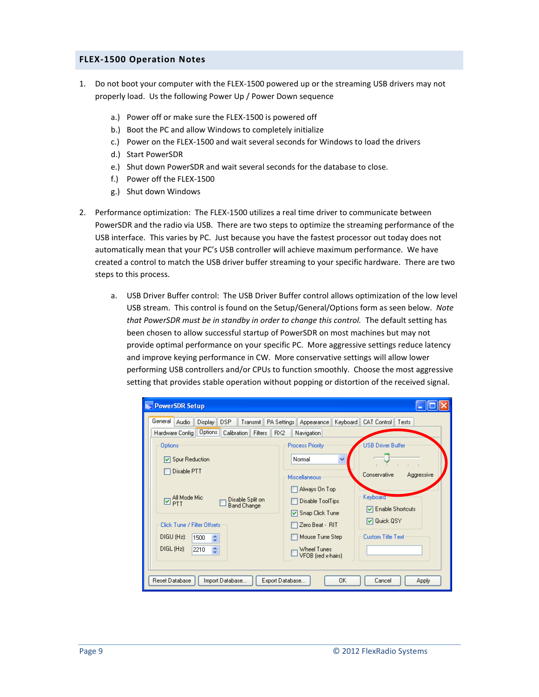#### <span id="page-8-0"></span>**FLEX-1500 Operation Notes**

- 1. Do not boot your computer with the FLEX-1500 powered up or the streaming USB drivers may not properly load. Us the following Power Up / Power Down sequence
	- a.) Power off or make sure the FLEX-1500 is powered off
	- b.) Boot the PC and allow Windows to completely initialize
	- c.) Power on the FLEX-1500 and wait several seconds for Windows to load the drivers
	- d.) Start PowerSDR
	- e.) Shut down PowerSDR and wait several seconds for the database to close.
	- f.) Power off the FLEX-1500
	- g.) Shut down Windows
- 2. Performance optimization: The FLEX-1500 utilizes a real time driver to communicate between PowerSDR and the radio via USB. There are two steps to optimize the streaming performance of the USB interface. This varies by PC. Just because you have the fastest processor out today does not automatically mean that your PC's USB controller will achieve maximum performance. We have created a control to match the USB driver buffer streaming to your specific hardware. There are two steps to this process.
	- a. USB Driver Buffer control: The USB Driver Buffer control allows optimization of the low level USB stream. This control is found on the Setup/General/Options form as seen below. *Note that PowerSDR must be in standby in order to change this control.* The default setting has been chosen to allow successful startup of PowerSDR on most machines but may not provide optimal performance on your specific PC. More aggressive settings reduce latency and improve keying performance in CW. More conservative settings will allow lower performing USB controllers and/or CPUs to function smoothly. Choose the most aggressive setting that provides stable operation without popping or distortion of the received signal.

| <b>PowerSDR Setup</b>                                                                                                                                            |                                                                                                                                                                                                                                                                      |  |
|------------------------------------------------------------------------------------------------------------------------------------------------------------------|----------------------------------------------------------------------------------------------------------------------------------------------------------------------------------------------------------------------------------------------------------------------|--|
| General<br>Audio<br><b>DSP</b><br>Display<br>Transmit<br>Hardware Config   Options   Calibration<br>Filters<br><b>Options</b><br>☑ Spur Reduction<br>Disable PTT | PA Settings<br>Keyboard   CAT Control   Tests<br>Appearance<br>RX <sub>2</sub><br>Navigation<br><b>USB Driver Buffer</b><br><b>Process Priority</b><br>Normal<br>×<br>$\mathbb{R}^2$<br>$\mathbf{L}$<br>Conservative<br>Aggressive<br>Miscellaneous<br>Always On Top |  |
| ⊡ All Mode Mic<br>□ PTT<br>Disable Split on<br><b>Band Change</b><br>Click Tune / Filter Offsets<br>DIGU (Hz):<br>1500<br>≎<br>DIGL(Hz):<br>2210<br>A            | Keyboard<br>Disable ToolTips<br>□ Enable Shortcuts<br>☑ Snap Click Tune<br><b>☑</b> Quick QSY<br>Zero Beat - RIT<br><b>Custom Title Text</b><br>Mouse Tune Step<br>Wheel Tunes<br>VFOB (red x-hairs)                                                                 |  |
| Reset Database<br>Import Database<br>Export Database<br>OΚ<br>Cancel<br><b>Apply</b>                                                                             |                                                                                                                                                                                                                                                                      |  |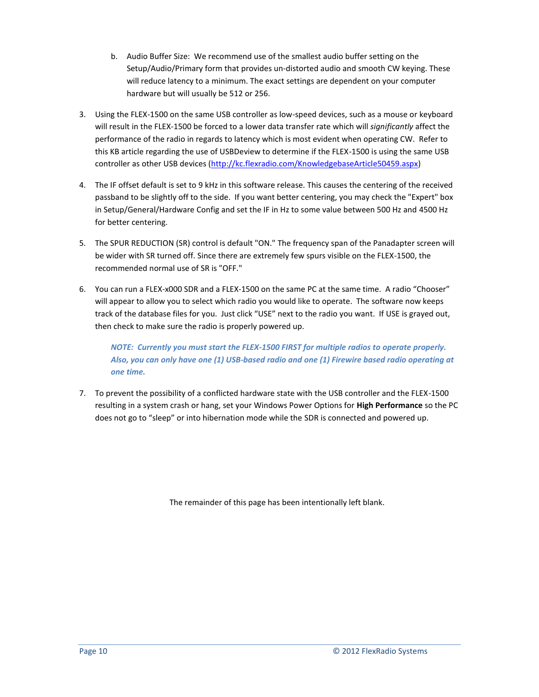- b. Audio Buffer Size: We recommend use of the smallest audio buffer setting on the Setup/Audio/Primary form that provides un-distorted audio and smooth CW keying. These will reduce latency to a minimum. The exact settings are dependent on your computer hardware but will usually be 512 or 256.
- 3. Using the FLEX-1500 on the same USB controller as low-speed devices, such as a mouse or keyboard will result in the FLEX-1500 be forced to a lower data transfer rate which will *significantly* affect the performance of the radio in regards to latency which is most evident when operating CW. Refer to this KB article regarding the use of USBDeview to determine if the FLEX-1500 is using the same USB controller as other USB devices [\(http://kc.flexradio.com/KnowledgebaseArticle50459.aspx\)](http://kc.flexradio.com/KnowledgebaseArticle50459.aspx)
- 4. The IF offset default is set to 9 kHz in this software release. This causes the centering of the received passband to be slightly off to the side. If you want better centering, you may check the "Expert" box in Setup/General/Hardware Config and set the IF in Hz to some value between 500 Hz and 4500 Hz for better centering.
- 5. The SPUR REDUCTION (SR) control is default "ON." The frequency span of the Panadapter screen will be wider with SR turned off. Since there are extremely few spurs visible on the FLEX-1500, the recommended normal use of SR is "OFF."
- 6. You can run a FLEX-x000 SDR and a FLEX-1500 on the same PC at the same time. A radio "Chooser" will appear to allow you to select which radio you would like to operate. The software now keeps track of the database files for you. Just click "USE" next to the radio you want. If USE is grayed out, then check to make sure the radio is properly powered up.

*NOTE: Currently you must start the FLEX-1500 FIRST for multiple radios to operate properly. Also, you can only have one (1) USB-based radio and one (1) Firewire based radio operating at one time.*

7. To prevent the possibility of a conflicted hardware state with the USB controller and the FLEX-1500 resulting in a system crash or hang, set your Windows Power Options for **High Performance** so the PC does not go to "sleep" or into hibernation mode while the SDR is connected and powered up.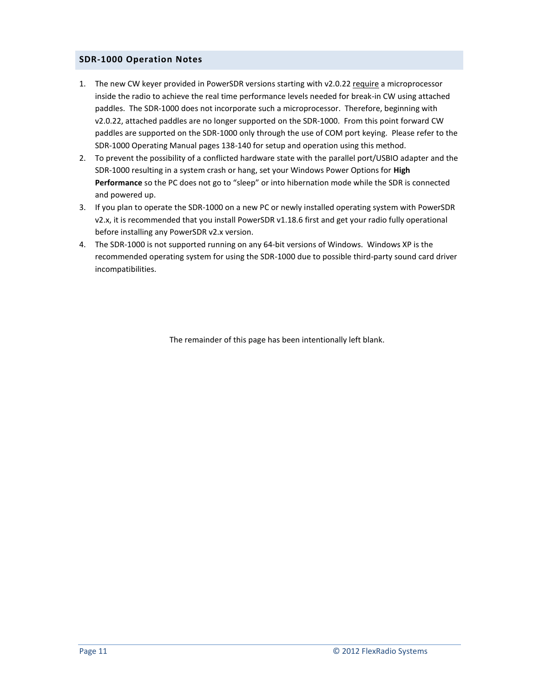# <span id="page-10-0"></span>**SDR-1000 Operation Notes**

- 1. The new CW keyer provided in PowerSDR versions starting with v2.0.22 require a microprocessor inside the radio to achieve the real time performance levels needed for break-in CW using attached paddles. The SDR-1000 does not incorporate such a microprocessor. Therefore, beginning with v2.0.22, attached paddles are no longer supported on the SDR-1000. From this point forward CW paddles are supported on the SDR-1000 only through the use of COM port keying. Please refer to the SDR-1000 Operating Manual pages 138-140 for setup and operation using this method.
- 2. To prevent the possibility of a conflicted hardware state with the parallel port/USBIO adapter and the SDR-1000 resulting in a system crash or hang, set your Windows Power Options for **High Performance** so the PC does not go to "sleep" or into hibernation mode while the SDR is connected and powered up.
- 3. If you plan to operate the SDR-1000 on a new PC or newly installed operating system with PowerSDR v2.x, it is recommended that you install PowerSDR v1.18.6 first and get your radio fully operational before installing any PowerSDR v2.x version.
- 4. The SDR-1000 is not supported running on any 64-bit versions of Windows. Windows XP is the recommended operating system for using the SDR-1000 due to possible third-party sound card driver incompatibilities.